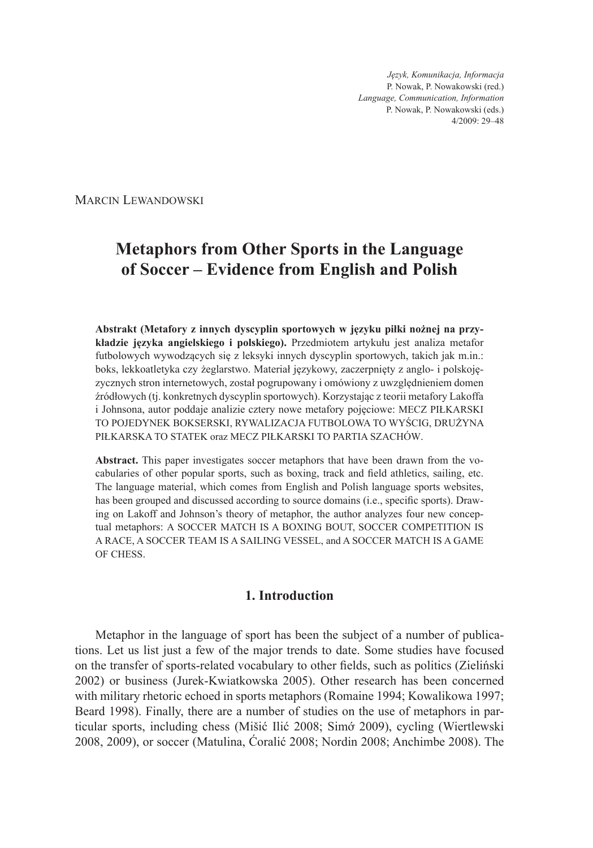*Język, Komunikacja, Informacja* P. Nowak, P. Nowakowski (red.) *Language, Communication, Information* P. Nowak, P. Nowakowski (eds.) 4/2009: 29–48

Marcin Lewandowski

# **Metaphors from Other Sports in the Language of Soccer – Evidence from English and Polish**

**Abstrakt (Metafory z innych dyscyplin sportowych w języku piłki nożnej na przykładzie języka angielskiego i polskiego).** Przedmiotem artykułu jest analiza metafor futbolowych wywodzących się z leksyki innych dyscyplin sportowych, takich jak m.in.: boks, lekkoatletyka czy żeglarstwo. Materiał językowy, zaczerpnięty z anglo- i polskojęzycznych stron internetowych, został pogrupowany i omówiony z uwzględnieniem domen źródłowych (tj. konkretnych dyscyplin sportowych). Korzystając z teorii metafory Lakoffa i Johnsona, autor poddaje analizie cztery nowe metafory pojęciowe: MECZ PIŁKARSKI TO POJEDYNEK BOKSERSKI, RYWALIZACJA FUTBOLOWA TO WYŚCIG, DRUŻYNA PIŁKARSKA TO STATEK oraz MECZ PIŁKARSKI TO PARTIA SZACHÓW.

**Abstract.** This paper investigates soccer metaphors that have been drawn from the vocabularies of other popular sports, such as boxing, track and field athletics, sailing, etc. The language material, which comes from English and Polish language sports websites, has been grouped and discussed according to source domains (i.e., specific sports). Drawing on Lakoff and Johnson's theory of metaphor, the author analyzes four new conceptual metaphors: A SOCCER MATCH IS A BOXING BOUT, SOCCER COMPETITION IS A RACE, A SOCCER TEAM IS A SAILING VESSEL, and A SOCCER MATCH IS A GAME OF CHESS.

# **1. Introduction**

Metaphor in the language of sport has been the subject of a number of publications. Let us list just a few of the major trends to date. Some studies have focused on the transfer of sports-related vocabulary to other fields, such as politics (Zieliński 2002) or business (Jurek-Kwiatkowska 2005). Other research has been concerned with military rhetoric echoed in sports metaphors (Romaine 1994; Kowalikowa 1997; Beard 1998). Finally, there are a number of studies on the use of metaphors in particular sports, including chess (Mišić Ilić 2008; Simớ 2009), cycling (Wiertlewski 2008, 2009), or soccer (Matulina, Ćoralić 2008; Nordin 2008; Anchimbe 2008). The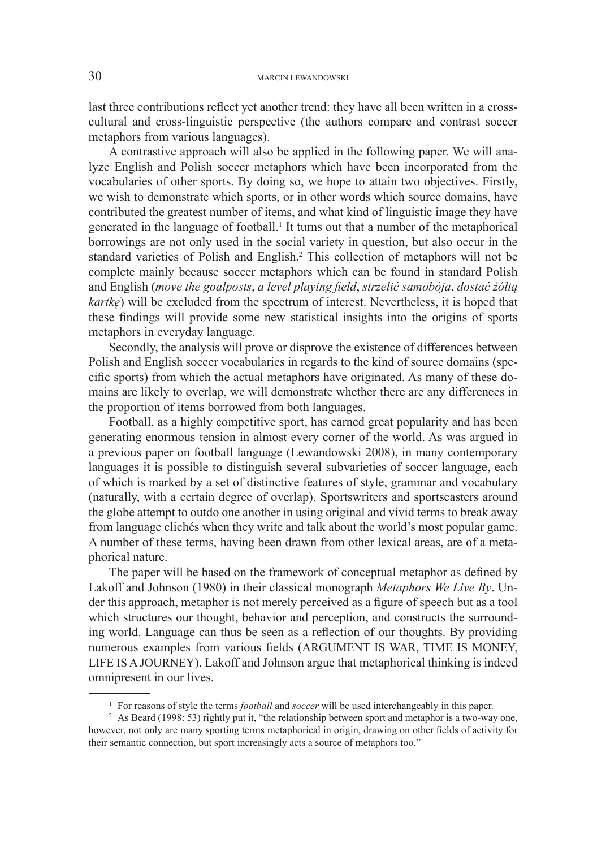last three contributions reflect yet another trend: they have all been written in a crosscultural and cross-linguistic perspective (the authors compare and contrast soccer metaphors from various languages).

A contrastive approach will also be applied in the following paper. We will analyze English and Polish soccer metaphors which have been incorporated from the vocabularies of other sports. By doing so, we hope to attain two objectives. Firstly, we wish to demonstrate which sports, or in other words which source domains, have contributed the greatest number of items, and what kind of linguistic image they have generated in the language of football. 1 It turns out that a number of the metaphorical borrowings are not only used in the social variety in question, but also occur in the standard varieties of Polish and English. <sup>2</sup> This collection of metaphors will not be complete mainly because soccer metaphors which can be found in standard Polish and English (*move the goalposts*, *a level playing field*, *strzelić samobója*, *dostać żółtą kartkę*) will be excluded from the spectrum of interest. Nevertheless, it is hoped that these findings will provide some new statistical insights into the origins of sports metaphors in everyday language.

Secondly, the analysis will prove or disprove the existence of differences between Polish and English soccer vocabularies in regards to the kind of source domains (specific sports) from which the actual metaphors have originated. As many of these domains are likely to overlap, we will demonstrate whether there are any differences in the proportion of items borrowed from both languages.

Football, as a highly competitive sport, has earned great popularity and has been generating enormous tension in almost every corner of the world. As was argued in a previous paper on football language (Lewandowski 2008), in many contemporary languages it is possible to distinguish several subvarieties of soccer language, each of which is marked by a set of distinctive features of style, grammar and vocabulary (naturally, with a certain degree of overlap). Sportswriters and sportscasters around the globe attempt to outdo one another in using original and vivid terms to break away from language clichés when they write and talk about the world's most popular game. A number of these terms, having been drawn from other lexical areas, are of a metaphorical nature.

The paper will be based on the framework of conceptual metaphor as defined by Lakoff and Johnson (1980) in their classical monograph *Metaphors We Live By*. Under this approach, metaphor is not merely perceived as a figure of speech but as a tool which structures our thought, behavior and perception, and constructs the surrounding world. Language can thus be seen as a reflection of our thoughts. By providing numerous examples from various fields (ARGUMENT IS WAR, TIME IS MONEY, LIFE IS A JOURNEY), Lakoff and Johnson argue that metaphorical thinking is indeed omnipresent in our lives.

<sup>1</sup> For reasons of style the terms *football* and *soccer* will be used interchangeably in this paper.

<sup>&</sup>lt;sup>2</sup> As Beard (1998: 53) rightly put it, "the relationship between sport and metaphor is a two-way one, however, not only are many sporting terms metaphorical in origin, drawing on other fields of activity for their semantic connection, but sport increasingly acts a source of metaphors too."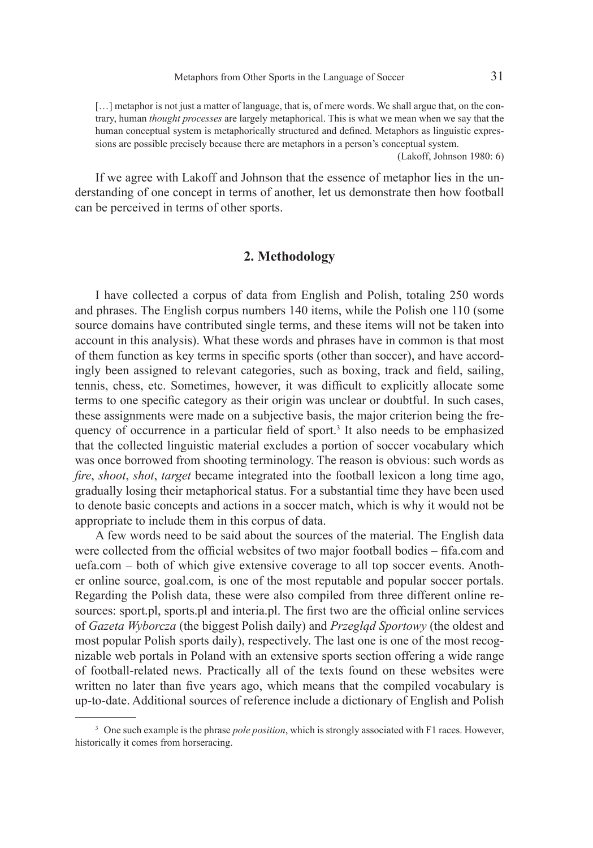[...] metaphor is not just a matter of language, that is, of mere words. We shall argue that, on the contrary, human *thought processes* are largely metaphorical. This is what we mean when we say that the human conceptual system is metaphorically structured and defined. Metaphors as linguistic expressions are possible precisely because there are metaphors in a person's conceptual system.

(Lakoff, Johnson 1980: 6)

If we agree with Lakoff and Johnson that the essence of metaphor lies in the understanding of one concept in terms of another, let us demonstrate then how football can be perceived in terms of other sports.

### **2. Methodology**

I have collected a corpus of data from English and Polish, totaling 250 words and phrases. The English corpus numbers 140 items, while the Polish one 110 (some source domains have contributed single terms, and these items will not be taken into account in this analysis). What these words and phrases have in common is that most of them function as key terms in specific sports (other than soccer), and have accordingly been assigned to relevant categories, such as boxing, track and field, sailing, tennis, chess, etc. Sometimes, however, it was difficult to explicitly allocate some terms to one specific category as their origin was unclear or doubtful. In such cases, these assignments were made on a subjective basis, the major criterion being the frequency of occurrence in a particular field of sport.<sup>3</sup> It also needs to be emphasized that the collected linguistic material excludes a portion of soccer vocabulary which was once borrowed from shooting terminology. The reason is obvious: such words as *fire*, *shoot*, *shot*, *target* became integrated into the football lexicon a long time ago, gradually losing their metaphorical status. For a substantial time they have been used to denote basic concepts and actions in a soccer match, which is why it would not be appropriate to include them in this corpus of data.

A few words need to be said about the sources of the material. The English data were collected from the official websites of two major football bodies – fifa.com and uefa.com – both of which give extensive coverage to all top soccer events. Another online source, goal.com, is one of the most reputable and popular soccer portals. Regarding the Polish data, these were also compiled from three different online resources: sport.pl, sports.pl and interia.pl. The first two are the official online services of *Gazeta Wyborcza* (the biggest Polish daily) and *Przegląd Sportowy* (the oldest and most popular Polish sports daily), respectively. The last one is one of the most recognizable web portals in Poland with an extensive sports section offering a wide range of football-related news. Practically all of the texts found on these websites were written no later than five years ago, which means that the compiled vocabulary is up-to-date. Additional sources of reference include a dictionary of English and Polish

<sup>3</sup> One such example is the phrase *pole position*, which is strongly associated with F1 races. However, historically it comes from horseracing.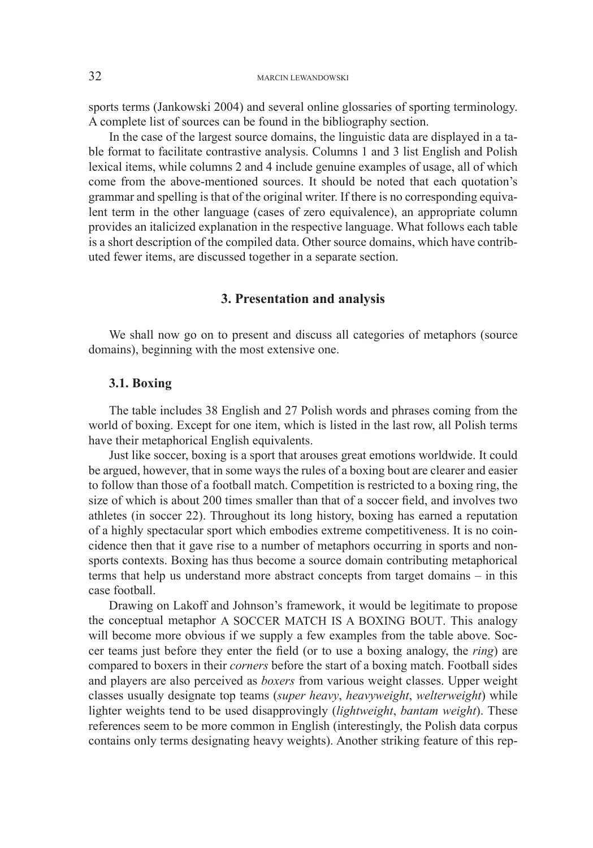sports terms (Jankowski 2004) and several online glossaries of sporting terminology. A complete list of sources can be found in the bibliography section.

In the case of the largest source domains, the linguistic data are displayed in a table format to facilitate contrastive analysis. Columns 1 and 3 list English and Polish lexical items, while columns 2 and 4 include genuine examples of usage, all of which come from the above-mentioned sources. It should be noted that each quotation's grammar and spelling is that of the original writer. If there is no corresponding equivalent term in the other language (cases of zero equivalence), an appropriate column provides an italicized explanation in the respective language. What follows each table is a short description of the compiled data. Other source domains, which have contributed fewer items, are discussed together in a separate section.

## **3. Presentation and analysis**

We shall now go on to present and discuss all categories of metaphors (source domains), beginning with the most extensive one.

### **3.1. Boxing**

The table includes 38 English and 27 Polish words and phrases coming from the world of boxing. Except for one item, which is listed in the last row, all Polish terms have their metaphorical English equivalents.

Just like soccer, boxing is a sport that arouses great emotions worldwide. It could be argued, however, that in some ways the rules of a boxing bout are clearer and easier to follow than those of a football match. Competition is restricted to a boxing ring, the size of which is about 200 times smaller than that of a soccer field, and involves two athletes (in soccer 22). Throughout its long history, boxing has earned a reputation of a highly spectacular sport which embodies extreme competitiveness. It is no coincidence then that it gave rise to a number of metaphors occurring in sports and nonsports contexts. Boxing has thus become a source domain contributing metaphorical terms that help us understand more abstract concepts from target domains – in this case football.

Drawing on Lakoff and Johnson's framework, it would be legitimate to propose the conceptual metaphor A SOCCER MATCH IS A BOXING BOUT. This analogy will become more obvious if we supply a few examples from the table above. Soccer teams just before they enter the field (or to use a boxing analogy, the *ring*) are compared to boxers in their *corners* before the start of a boxing match. Football sides and players are also perceived as *boxers* from various weight classes. Upper weight classes usually designate top teams (*super heavy*, *heavyweight*, *welterweight*) while lighter weights tend to be used disapprovingly (*lightweight*, *bantam weight*). These references seem to be more common in English (interestingly, the Polish data corpus contains only terms designating heavy weights). Another striking feature of this rep-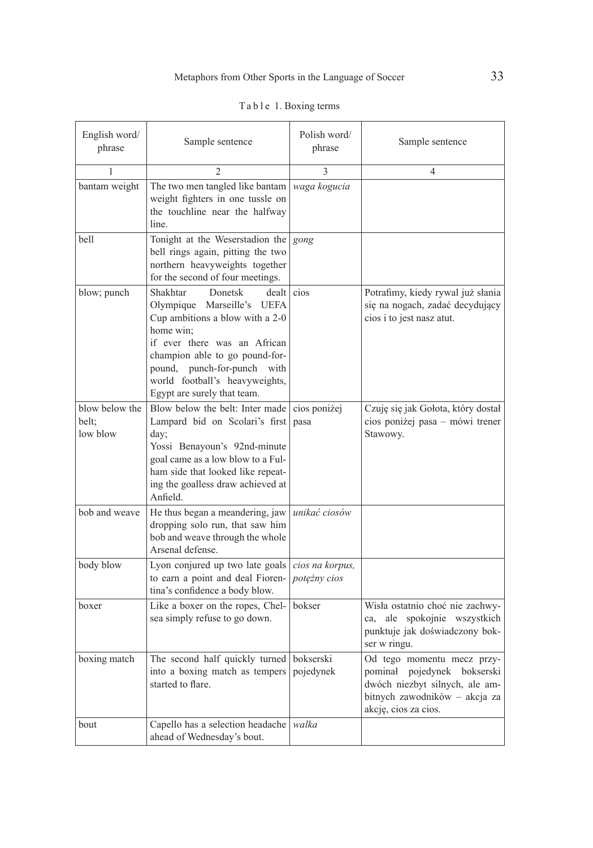| English word/<br>phrase             | Sample sentence                                                                                                                                                                                                                                                              | Polish word/<br>phrase          | Sample sentence                                                                                                                                         |
|-------------------------------------|------------------------------------------------------------------------------------------------------------------------------------------------------------------------------------------------------------------------------------------------------------------------------|---------------------------------|---------------------------------------------------------------------------------------------------------------------------------------------------------|
| 1                                   | $\mathfrak{D}$                                                                                                                                                                                                                                                               | 3                               | 4                                                                                                                                                       |
| bantam weight                       | The two men tangled like bantam<br>weight fighters in one tussle on<br>the touchline near the halfway<br>line.                                                                                                                                                               | waga kogucia                    |                                                                                                                                                         |
| bell                                | Tonight at the Weserstadion the<br>bell rings again, pitting the two<br>northern heavyweights together<br>for the second of four meetings.                                                                                                                                   | gong                            |                                                                                                                                                         |
| blow; punch                         | Shakhtar<br>Donetsk<br>dealt<br>Olympique Marseille's UEFA<br>Cup ambitions a blow with a 2-0<br>home win;<br>if ever there was an African<br>champion able to go pound-for-<br>pound, punch-for-punch with<br>world football's heavyweights,<br>Egypt are surely that team. | cios                            | Potrafimy, kiedy rywal już słania<br>się na nogach, zadać decydujący<br>cios i to jest nasz atut.                                                       |
| blow below the<br>belt:<br>low blow | Blow below the belt: Inter made<br>Lampard bid on Scolari's first<br>day;<br>Yossi Benayoun's 92nd-minute<br>goal came as a low blow to a Ful-<br>ham side that looked like repeat-<br>ing the goalless draw achieved at<br>Anfield.                                         | cios poniżej<br>pasa            | Czuję się jak Gołota, który dostał<br>cios poniżej pasa – mówi trener<br>Stawowy.                                                                       |
| bob and weave                       | He thus began a meandering, jaw<br>dropping solo run, that saw him<br>bob and weave through the whole<br>Arsenal defense.                                                                                                                                                    | unikać ciosów                   |                                                                                                                                                         |
| body blow                           | Lyon conjured up two late goals<br>to earn a point and deal Fioren-<br>tina's confidence a body blow.                                                                                                                                                                        | cios na korpus,<br>potężny cios |                                                                                                                                                         |
| boxer                               | Like a boxer on the ropes, Chel-<br>sea simply refuse to go down.                                                                                                                                                                                                            | bokser                          | Wisła ostatnio choć nie zachwy-<br>ca, ale spokojnie wszystkich<br>punktuje jak doświadczony bok-<br>ser w ringu.                                       |
| boxing match                        | The second half quickly turned<br>into a boxing match as tempers<br>started to flare.                                                                                                                                                                                        | bokserski<br>pojedynek          | Od tego momentu mecz przy-<br>pojedynek bokserski<br>pominał<br>dwóch niezbyt silnych, ale am-<br>bitnych zawodników - akcja za<br>akcję, cios za cios. |
| bout                                | Capello has a selection headache walka<br>ahead of Wednesday's bout.                                                                                                                                                                                                         |                                 |                                                                                                                                                         |

|  |  |  |  | Table 1. Boxing terms |  |
|--|--|--|--|-----------------------|--|
|--|--|--|--|-----------------------|--|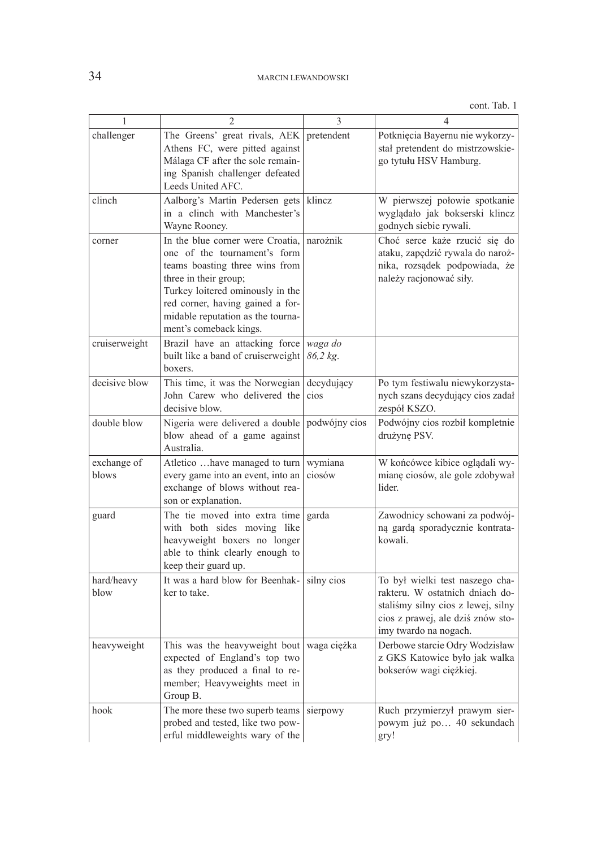| 1                    | $\overline{2}$                                                                                                                                                                                                                                                     | 3                   | 4                                                                                                                                                                      |
|----------------------|--------------------------------------------------------------------------------------------------------------------------------------------------------------------------------------------------------------------------------------------------------------------|---------------------|------------------------------------------------------------------------------------------------------------------------------------------------------------------------|
| challenger           | The Greens' great rivals, AEK<br>Athens FC, were pitted against<br>Málaga CF after the sole remain-<br>ing Spanish challenger defeated<br>Leeds United AFC.                                                                                                        | pretendent          | Potknięcia Bayernu nie wykorzy-<br>stał pretendent do mistrzowskie-<br>go tytułu HSV Hamburg.                                                                          |
| clinch               | Aalborg's Martin Pedersen gets<br>in a clinch with Manchester's<br>Wayne Rooney.                                                                                                                                                                                   | klincz              | W pierwszej połowie spotkanie<br>wyglądało jak bokserski klincz<br>godnych siebie rywali.                                                                              |
| corner               | In the blue corner were Croatia,<br>one of the tournament's form<br>teams boasting three wins from<br>three in their group;<br>Turkey loitered ominously in the<br>red corner, having gained a for-<br>midable reputation as the tourna-<br>ment's comeback kings. | narożnik            | Choć serce każe rzucić się do<br>ataku, zapędzić rywala do naroż-<br>nika, rozsądek podpowiada, że<br>należy racjonować siły.                                          |
| cruiserweight        | Brazil have an attacking force<br>built like a band of cruiserweight<br>boxers.                                                                                                                                                                                    | waga do<br>86,2 kg. |                                                                                                                                                                        |
| decisive blow        | This time, it was the Norwegian<br>John Carew who delivered the<br>decisive blow.                                                                                                                                                                                  | decydujący<br>cios  | Po tym festiwalu niewykorzysta-<br>nych szans decydujący cios zadał<br>zespół KSZO.                                                                                    |
| double blow          | Nigeria were delivered a double<br>blow ahead of a game against<br>Australia.                                                                                                                                                                                      | podwójny cios       | Podwójny cios rozbił kompletnie<br>drużynę PSV.                                                                                                                        |
| exchange of<br>blows | Atletico have managed to turn<br>every game into an event, into an<br>exchange of blows without rea-<br>son or explanation.                                                                                                                                        | wymiana<br>ciosów   | W końcówce kibice oglądali wy-<br>mianę ciosów, ale gole zdobywał<br>lider.                                                                                            |
| guard                | The tie moved into extra time<br>with both sides moving like<br>heavyweight boxers no longer<br>able to think clearly enough to<br>keep their guard up.                                                                                                            | garda               | Zawodnicy schowani za podwój-<br>ną gardą sporadycznie kontrata-<br>kowali.                                                                                            |
| hard/heavy<br>blow   | It was a hard blow for Beenhak-<br>ker to take.                                                                                                                                                                                                                    | silny cios          | To był wielki test naszego cha-<br>rakteru. W ostatnich dniach do-<br>staliśmy silny cios z lewej, silny<br>cios z prawej, ale dziś znów sto-<br>imy twardo na nogach. |
| heavyweight          | This was the heavyweight bout   waga ciężka<br>expected of England's top two<br>as they produced a final to re-<br>member; Heavyweights meet in<br>Group B.                                                                                                        |                     | Derbowe starcie Odry Wodzisław<br>z GKS Katowice było jak walka<br>bokserów wagi ciężkiej.                                                                             |
| hook                 | The more these two superb teams<br>probed and tested, like two pow-<br>erful middleweights wary of the                                                                                                                                                             | sierpowy            | Ruch przymierzył prawym sier-<br>powym już po 40 sekundach<br>gry!                                                                                                     |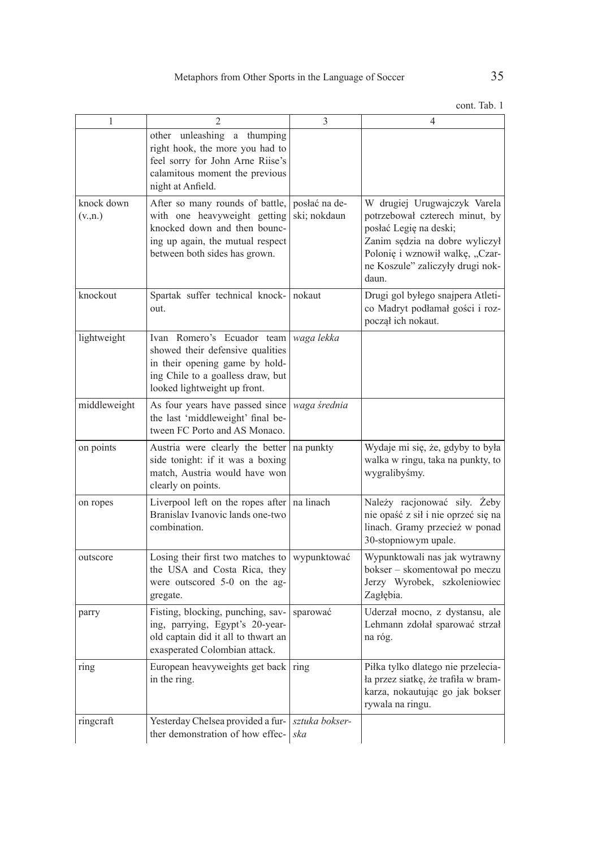| 1                                      | $\overline{2}$                                                                                                                                                        | 3                             | 4                                                                                                                                                                                                          |
|----------------------------------------|-----------------------------------------------------------------------------------------------------------------------------------------------------------------------|-------------------------------|------------------------------------------------------------------------------------------------------------------------------------------------------------------------------------------------------------|
|                                        | other unleashing a thumping<br>right hook, the more you had to<br>feel sorry for John Arne Riise's<br>calamitous moment the previous<br>night at Anfield.             |                               |                                                                                                                                                                                                            |
| knock down<br>$(v_{\cdot}, n_{\cdot})$ | After so many rounds of battle,<br>with one heavyweight getting<br>knocked down and then bounc-<br>ing up again, the mutual respect<br>between both sides has grown.  | posłać na de-<br>ski; nokdaun | W drugiej Urugwajczyk Varela<br>potrzebował czterech minut, by<br>posłać Legię na deski;<br>Zanim sędzia na dobre wyliczył<br>Polonię i wznowił walkę, "Czar-<br>ne Koszule" zaliczyły drugi nok-<br>daun. |
| knockout                               | Spartak suffer technical knock- nokaut<br>out.                                                                                                                        |                               | Drugi gol byłego snajpera Atleti-<br>co Madryt podłamał gości i roz-<br>począł ich nokaut.                                                                                                                 |
| lightweight                            | Ivan Romero's Ecuador team<br>showed their defensive qualities<br>in their opening game by hold-<br>ing Chile to a goalless draw, but<br>looked lightweight up front. | waga lekka                    |                                                                                                                                                                                                            |
| middleweight                           | As four years have passed since<br>the last 'middleweight' final be-<br>tween FC Porto and AS Monaco.                                                                 | waga średnia                  |                                                                                                                                                                                                            |
| on points                              | Austria were clearly the better<br>side tonight: if it was a boxing<br>match, Austria would have won<br>clearly on points.                                            | na punkty                     | Wydaje mi się, że, gdyby to była<br>walka w ringu, taka na punkty, to<br>wygralibyśmy.                                                                                                                     |
| on ropes                               | Liverpool left on the ropes after $ $ na linach<br>Branislav Ivanovic lands one-two<br>combination.                                                                   |                               | Należy racjonować siły. Żeby<br>nie opaść z sił i nie oprzeć się na<br>linach. Gramy przecież w ponad<br>30-stopniowym upale.                                                                              |
| outscore                               | Losing their first two matches to<br>the USA and Costa Rica, they<br>were outscored 5-0 on the ag-<br>gregate.                                                        | wypunktować                   | Wypunktowali nas jak wytrawny<br>bokser - skomentował po meczu<br>Jerzy Wyrobek, szkoleniowiec<br>Zagłębia.                                                                                                |
| parry                                  | Fisting, blocking, punching, sav-<br>ing, parrying, Egypt's 20-year-<br>old captain did it all to thwart an<br>exasperated Colombian attack.                          | sparować                      | Uderzał mocno, z dystansu, ale<br>Lehmann zdołał sparować strzał<br>na róg.                                                                                                                                |
| ring                                   | European heavyweights get back<br>in the ring.                                                                                                                        | ring                          | Piłka tylko dlatego nie przelecia-<br>ła przez siatkę, że trafiła w bram-<br>karza, nokautując go jak bokser<br>rywala na ringu.                                                                           |
| ringcraft                              | Yesterday Chelsea provided a fur-<br>ther demonstration of how effec-                                                                                                 | sztuka bokser-<br>ska         |                                                                                                                                                                                                            |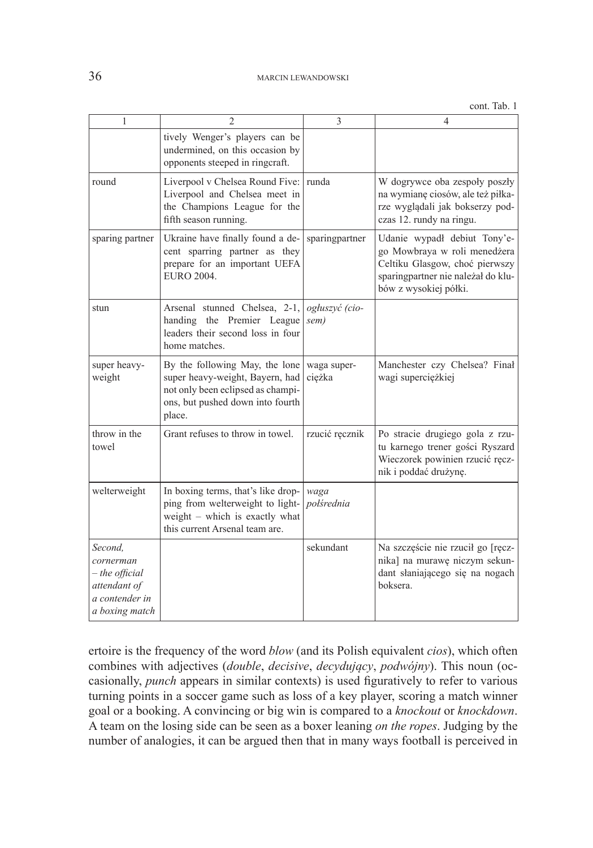| 1                                                                                            | $\mathfrak{D}$                                                                                                                                       | 3                      | 4                                                                                                                                                             |
|----------------------------------------------------------------------------------------------|------------------------------------------------------------------------------------------------------------------------------------------------------|------------------------|---------------------------------------------------------------------------------------------------------------------------------------------------------------|
|                                                                                              | tively Wenger's players can be<br>undermined, on this occasion by<br>opponents steeped in ringcraft.                                                 |                        |                                                                                                                                                               |
| round                                                                                        | Liverpool v Chelsea Round Five:<br>Liverpool and Chelsea meet in<br>the Champions League for the<br>fifth season running.                            | runda                  | W dogrywce oba zespoły poszły<br>na wymianę ciosów, ale też piłka-<br>rze wyglądali jak bokserzy pod-<br>czas 12. rundy na ringu.                             |
| sparing partner                                                                              | Ukraine have finally found a de-<br>cent sparring partner as they<br>prepare for an important UEFA<br><b>EURO 2004.</b>                              | sparingpartner         | Udanie wypadł debiut Tony'e-<br>go Mowbraya w roli menedżera<br>Celtiku Glasgow, choć pierwszy<br>sparingpartner nie należał do klu-<br>bów z wysokiej półki. |
| stun                                                                                         | Arsenal stunned Chelsea, 2-1,<br>handing the Premier League<br>leaders their second loss in four<br>home matches.                                    | ogłuszyć (cio-<br>sem) |                                                                                                                                                               |
| super heavy-<br>weight                                                                       | By the following May, the lone<br>super heavy-weight, Bayern, had<br>not only been eclipsed as champi-<br>ons, but pushed down into fourth<br>place. | waga super-<br>ciężka  | Manchester czy Chelsea? Finał<br>wagi superciężkiej                                                                                                           |
| throw in the<br>towel                                                                        | Grant refuses to throw in towel.                                                                                                                     | rzucić ręcznik         | Po stracie drugiego gola z rzu-<br>tu karnego trener gości Ryszard<br>Wieczorek powinien rzucić ręcz-<br>nik i poddać drużynę.                                |
| welterweight                                                                                 | In boxing terms, that's like drop-<br>ping from welterweight to light-<br>weight - which is exactly what<br>this current Arsenal team are.           | waga<br>polśrednia     |                                                                                                                                                               |
| Second,<br>cornerman<br>$-$ the official<br>attendant of<br>a contender in<br>a boxing match |                                                                                                                                                      | sekundant              | Na szczęście nie rzucił go [ręcz-<br>nika] na murawę niczym sekun-<br>dant słaniającego się na nogach<br>boksera.                                             |

ertoire is the frequency of the word *blow* (and its Polish equivalent *cios*), which often combines with adjectives (*double*, *decisive*, *decydujący*, *podwójny*). This noun (occasionally, *punch* appears in similar contexts) is used figuratively to refer to various turning points in a soccer game such as loss of a key player, scoring a match winner goal or a booking. A convincing or big win is compared to a *knockout* or *knockdown*. A team on the losing side can be seen as a boxer leaning *on the ropes*. Judging by the number of analogies, it can be argued then that in many ways football is perceived in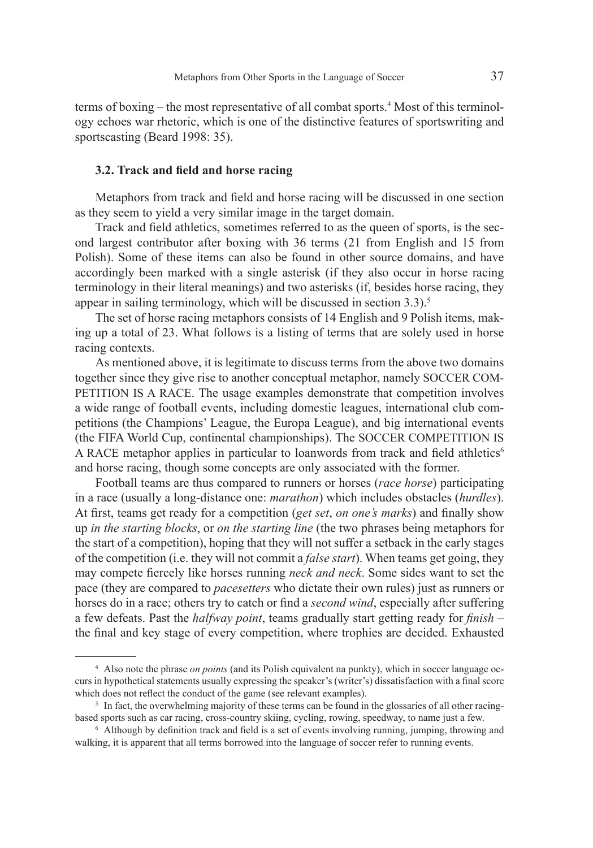terms of boxing – the most representative of all combat sports.<sup>4</sup> Most of this terminology echoes war rhetoric, which is one of the distinctive features of sportswriting and sportscasting (Beard 1998: 35).

### **3.2. Track and field and horse racing**

Metaphors from track and field and horse racing will be discussed in one section as they seem to yield a very similar image in the target domain.

Track and field athletics, sometimes referred to as the queen of sports, is the second largest contributor after boxing with 36 terms (21 from English and 15 from Polish). Some of these items can also be found in other source domains, and have accordingly been marked with a single asterisk (if they also occur in horse racing terminology in their literal meanings) and two asterisks (if, besides horse racing, they appear in sailing terminology, which will be discussed in section 3.3).<sup>5</sup>

The set of horse racing metaphors consists of 14 English and 9 Polish items, making up a total of 23. What follows is a listing of terms that are solely used in horse racing contexts.

As mentioned above, it is legitimate to discuss terms from the above two domains together since they give rise to another conceptual metaphor, namely SOCCER COM-PETITION IS A RACE. The usage examples demonstrate that competition involves a wide range of football events, including domestic leagues, international club competitions (the Champions' League, the Europa League), and big international events (the FIFA World Cup, continental championships). The SOCCER COMPETITION IS A RACE metaphor applies in particular to loanwords from track and field athletics<sup>6</sup> and horse racing, though some concepts are only associated with the former.

Football teams are thus compared to runners or horses (*race horse*) participating in a race (usually a long-distance one: *marathon*) which includes obstacles (*hurdles*). At first, teams get ready for a competition (*get set*, *on one's marks*) and finally show up *in the starting blocks*, or *on the starting line* (the two phrases being metaphors for the start of a competition), hoping that they will not suffer a setback in the early stages of the competition (i.e. they will not commit a *false start*). When teams get going, they may compete fiercely like horses running *neck and neck*. Some sides want to set the pace (they are compared to *pacesetters* who dictate their own rules) just as runners or horses do in a race; others try to catch or find a *second wind*, especially after suffering a few defeats. Past the *halfway point*, teams gradually start getting ready for *finish* – the final and key stage of every competition, where trophies are decided. Exhausted

<sup>4</sup> Also note the phrase *on points* (and its Polish equivalent na punkty), which in soccer language occurs in hypothetical statements usually expressing the speaker's (writer's) dissatisfaction with a final score which does not reflect the conduct of the game (see relevant examples).

<sup>&</sup>lt;sup>5</sup> In fact, the overwhelming majority of these terms can be found in the glossaries of all other racingbased sports such as car racing, cross-country skiing, cycling, rowing, speedway, to name just a few.

<sup>6</sup> Although by definition track and field is a set of events involving running, jumping, throwing and walking, it is apparent that all terms borrowed into the language of soccer refer to running events.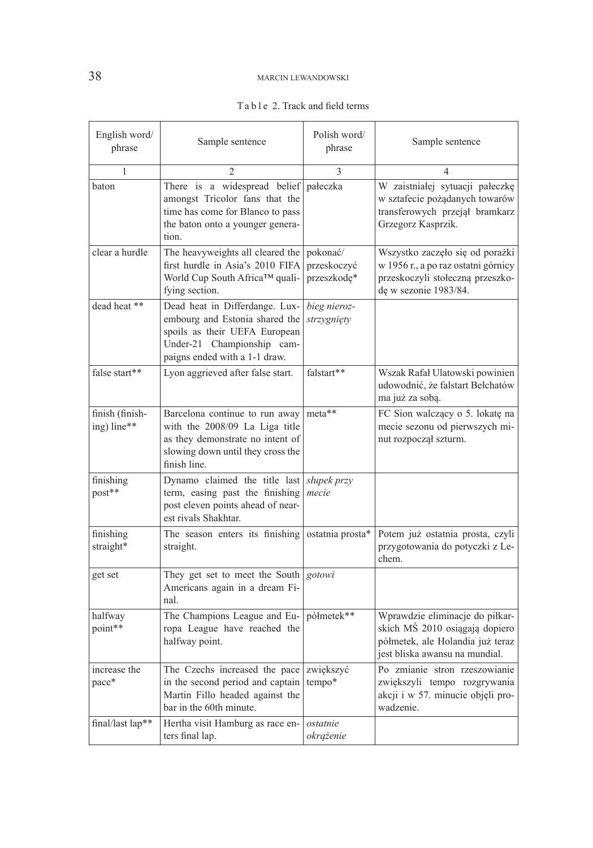# 38 MARCIN LEWANDOWSKI

| English word/<br>phrase        | Sample sentence                                                                                                                                                  | Polish word/<br>phrase                 | Sample sentence                                                                                                                         |
|--------------------------------|------------------------------------------------------------------------------------------------------------------------------------------------------------------|----------------------------------------|-----------------------------------------------------------------------------------------------------------------------------------------|
| 1                              | 2                                                                                                                                                                | 3                                      | 4                                                                                                                                       |
| baton                          | There is a widespread belief<br>amongst Tricolor fans that the<br>time has come for Blanco to pass<br>the baton onto a younger genera-<br>tion.                  | pałeczka                               | W zaistniałej sytuacji pałeczkę<br>w sztafecie pożądanych towarów<br>transferowych przejął bramkarz<br>Grzegorz Kasprzik.               |
| clear a hurdle                 | The heavyweights all cleared the<br>first hurdle in Asia's 2010 FIFA<br>World Cup South Africa™ quali-<br>fying section.                                         | pokonać/<br>przeskoczyć<br>przeszkodę* | Wszystko zaczęło się od porażki<br>w 1956 r., a po raz ostatni górnicy<br>przeskoczyli stołeczną przeszko-<br>dę w sezonie 1983/84.     |
| dead heat **                   | Dead heat in Differdange. Lux-<br>embourg and Estonia shared the<br>spoils as their UEFA European<br>Under-21 Championship cam-<br>paigns ended with a 1-1 draw. | bieg nieroz-<br>strzygnięty            |                                                                                                                                         |
| false start**                  | Lyon aggrieved after false start.                                                                                                                                | falstart**                             | Wszak Rafał Ulatowski powinien<br>udowodnić, że falstart Bełchatów<br>ma już za sobą.                                                   |
| finish (finish-<br>ing) line** | Barcelona continue to run away<br>with the 2008/09 La Liga title<br>as they demonstrate no intent of<br>slowing down until they cross the<br>finish line.        | meta**                                 | FC Sion walczący o 5. lokatę na<br>mecie sezonu od pierwszych mi-<br>nut rozpoczął szturm.                                              |
| finishing<br>post**            | Dynamo claimed the title last<br>term, easing past the finishing<br>post eleven points ahead of near-<br>est rivals Shakhtar.                                    | słupek przy<br>mecie                   |                                                                                                                                         |
| finishing<br>straight*         | The season enters its finishing<br>straight.                                                                                                                     | ostatnia prosta*                       | Potem już ostatnia prosta, czyli<br>przygotowania do potyczki z Le-<br>chem.                                                            |
| get set                        | They get set to meet the South<br>Americans again in a dream Fi-<br>nal.                                                                                         | gotowi                                 |                                                                                                                                         |
| halfway<br>point**             | The Champions League and Eu-<br>ropa League have reached the<br>halfway point.                                                                                   | półmetek**                             | Wprawdzie eliminacje do piłkar-<br>skich MŚ 2010 osiągają dopiero<br>półmetek, ale Holandia już teraz<br>jest bliska awansu na mundial. |
| increase the<br>pace*          | The Czechs increased the pace<br>in the second period and captain<br>Martin Fillo headed against the<br>bar in the 60th minute.                                  | zwiększyć<br>tempo*                    | Po zmianie stron rzeszowianie<br>zwiększyli tempo rozgrywania<br>akcji i w 57. minucie objęli pro-<br>wadzenie.                         |
| final/last lap**               | Hertha visit Hamburg as race en-<br>ters final lap.                                                                                                              | ostatnie<br>okrążenie                  |                                                                                                                                         |

### Ta b l e 2. Track and field terms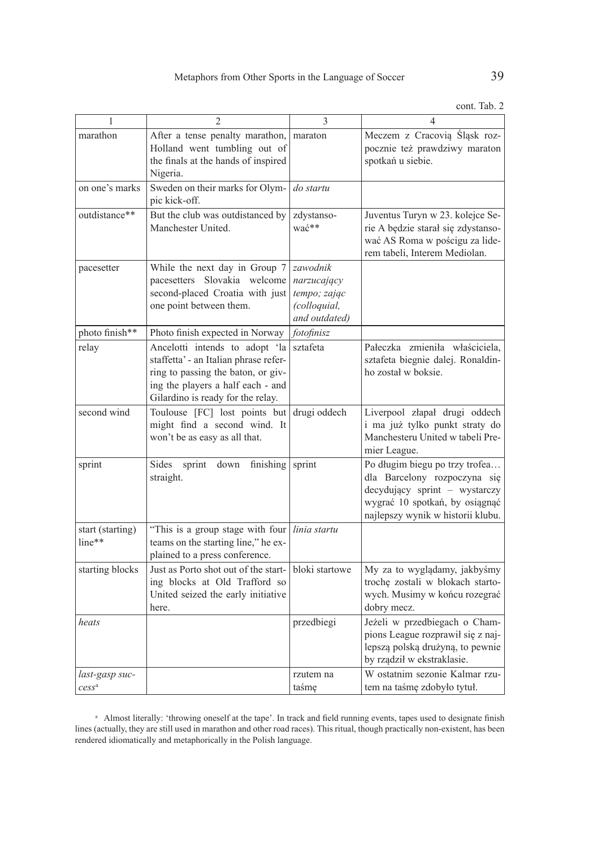| 1                          | 2                                                                                                                                                                                       | 3                                                                        | $\overline{4}$                                                                                                                                                         |
|----------------------------|-----------------------------------------------------------------------------------------------------------------------------------------------------------------------------------------|--------------------------------------------------------------------------|------------------------------------------------------------------------------------------------------------------------------------------------------------------------|
| marathon                   | After a tense penalty marathon,<br>Holland went tumbling out of<br>the finals at the hands of inspired<br>Nigeria.                                                                      | maraton                                                                  | Meczem z Cracovią Śląsk roz-<br>pocznie też prawdziwy maraton<br>spotkań u siebie.                                                                                     |
| on one's marks             | Sweden on their marks for Olym-<br>pic kick-off.                                                                                                                                        | do startu                                                                |                                                                                                                                                                        |
| outdistance**              | But the club was outdistanced by<br>Manchester United.                                                                                                                                  | zdystanso-<br>wać**                                                      | Juventus Turyn w 23. kolejce Se-<br>rie A będzie starał się zdystanso-<br>wać AS Roma w pościgu za lide-<br>rem tabeli, Interem Mediolan.                              |
| pacesetter                 | While the next day in Group 7<br>pacesetters Slovakia welcome<br>second-placed Croatia with just<br>one point between them.                                                             | zawodnik<br>narzucający<br>tempo; zając<br>(colloquial,<br>and outdated) |                                                                                                                                                                        |
| photo finish**             | Photo finish expected in Norway                                                                                                                                                         | fotofinisz                                                               |                                                                                                                                                                        |
| relay                      | Ancelotti intends to adopt 'la<br>staffetta' - an Italian phrase refer-<br>ring to passing the baton, or giv-<br>ing the players a half each - and<br>Gilardino is ready for the relay. | sztafeta                                                                 | Pałeczka zmieniła właściciela,<br>sztafeta biegnie dalej. Ronaldin-<br>ho został w boksie.                                                                             |
| second wind                | Toulouse [FC] lost points but<br>might find a second wind. It<br>won't be as easy as all that.                                                                                          | drugi oddech                                                             | Liverpool złapał drugi oddech<br>i ma już tylko punkt straty do<br>Manchesteru United w tabeli Pre-<br>mier League.                                                    |
| sprint                     | Sides<br>down<br>finishing<br>sprint<br>straight.                                                                                                                                       | sprint                                                                   | Po długim biegu po trzy trofea<br>dla Barcelony rozpoczyna się<br>decydujący sprint - wystarczy<br>wygrać 10 spotkań, by osiągnąć<br>najlepszy wynik w historii klubu. |
| start (starting)<br>line** | "This is a group stage with four<br>teams on the starting line," he ex-<br>plained to a press conference.                                                                               | linia startu                                                             |                                                                                                                                                                        |
| starting blocks            | Just as Porto shot out of the start-<br>ing blocks at Old Trafford so<br>United seized the early initiative<br>here.                                                                    | bloki startowe                                                           | My za to wyglądamy, jakbyśmy<br>trochę zostali w blokach starto-<br>wych. Musimy w końcu rozegrać<br>dobry mecz.                                                       |
| heats                      |                                                                                                                                                                                         | przedbiegi                                                               | Jeżeli w przedbiegach o Cham-<br>pions League rozprawił się z naj-<br>lepszą polską drużyną, to pewnie<br>by rządził w ekstraklasie.                                   |
| last-gasp suc-             |                                                                                                                                                                                         | rzutem na                                                                | W ostatnim sezonie Kalmar rzu-                                                                                                                                         |
| cess <sup>a</sup>          |                                                                                                                                                                                         | taśmę                                                                    | tem na taśmę zdobyło tytuł.                                                                                                                                            |

a Almost literally: 'throwing oneself at the tape'. In track and field running events, tapes used to designate finish lines (actually, they are still used in marathon and other road races). This ritual, though practically non-existent, has been rendered idiomatically and metaphorically in the Polish language.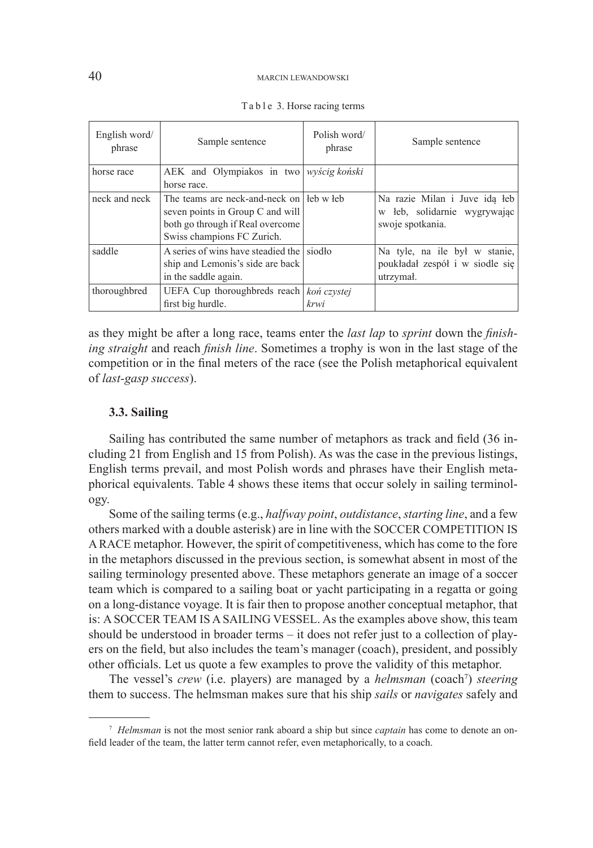#### 40 MARCIN LEWANDOWSKI

| English word/<br>phrase | Sample sentence                                                                                                                                  | Polish word/<br>phrase | Sample sentence                                                                      |  |
|-------------------------|--------------------------------------------------------------------------------------------------------------------------------------------------|------------------------|--------------------------------------------------------------------------------------|--|
| horse race              | AEK and Olympiakos in two wyścig koński<br>horse race.                                                                                           |                        |                                                                                      |  |
| neck and neck           | The teams are neck-and-neck on l leb w leb<br>seven points in Group C and will<br>both go through if Real overcome<br>Swiss champions FC Zurich. |                        | Na razie Milan i Juve ida leb<br>leb, solidarnie wygrywając<br>W<br>swoje spotkania. |  |
| saddle                  | A series of wins have steadied the siod lots<br>ship and Lemonis's side are back<br>in the saddle again.                                         |                        | Na tyle, na ile był w stanie,<br>poukładał zespół i w siodle się<br>utrzymał.        |  |
| thoroughbred            | UEFA Cup thoroughbreds reach   kon czystej<br>first big hurdle.                                                                                  | krwi                   |                                                                                      |  |

| Table 3. Horse racing terms |  |
|-----------------------------|--|
|-----------------------------|--|

as they might be after a long race, teams enter the *last lap* to *sprint* down the *finishing straight* and reach *finish line*. Sometimes a trophy is won in the last stage of the competition or in the final meters of the race (see the Polish metaphorical equivalent of *last-gasp success*).

# **3.3. Sailing**

Sailing has contributed the same number of metaphors as track and field (36 including 21 from English and 15 from Polish). As was the case in the previous listings, English terms prevail, and most Polish words and phrases have their English metaphorical equivalents. Table 4 shows these items that occur solely in sailing terminology.

Some of the sailing terms (e.g., *halfway point*, *outdistance*, *starting line*, and a few others marked with a double asterisk) are in line with the SOCCER COMPETITION IS A RACE metaphor. However, the spirit of competitiveness, which has come to the fore in the metaphors discussed in the previous section, is somewhat absent in most of the sailing terminology presented above. These metaphors generate an image of a soccer team which is compared to a sailing boat or yacht participating in a regatta or going on a long-distance voyage. It is fair then to propose another conceptual metaphor, that is: A SOCCER TEAM IS A SAILING VESSEL. As the examples above show, this team should be understood in broader terms – it does not refer just to a collection of players on the field, but also includes the team's manager (coach), president, and possibly other officials. Let us quote a few examples to prove the validity of this metaphor.

The vessel's *crew* (i.e. players) are managed by a *helmsman* (coach<sup>7</sup>) *steering* them to success. The helmsman makes sure that his ship *sails* or *navigates* safely and

<sup>7</sup> *Helmsman* is not the most senior rank aboard a ship but since *captain* has come to denote an onfield leader of the team, the latter term cannot refer, even metaphorically, to a coach.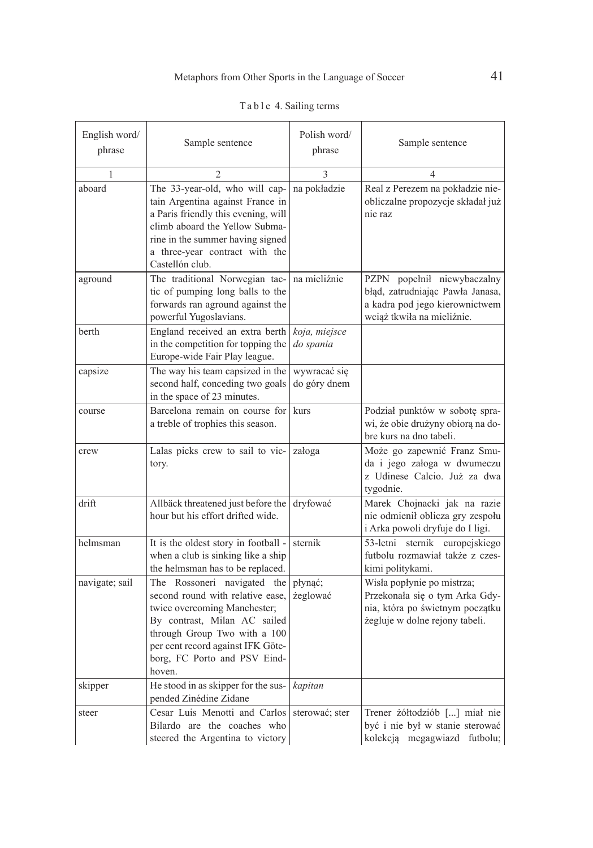| English word/<br>phrase | Sample sentence                                                                                                                                                                                                                                | Polish word/<br>phrase       | Sample sentence                                                                                                                   |
|-------------------------|------------------------------------------------------------------------------------------------------------------------------------------------------------------------------------------------------------------------------------------------|------------------------------|-----------------------------------------------------------------------------------------------------------------------------------|
| 1                       | 2                                                                                                                                                                                                                                              | 3                            | 4                                                                                                                                 |
| aboard                  | The 33-year-old, who will cap-<br>tain Argentina against France in<br>a Paris friendly this evening, will<br>climb aboard the Yellow Subma-<br>rine in the summer having signed<br>a three-year contract with the<br>Castellón club.           | na pokładzie                 | Real z Perezem na pokładzie nie-<br>obliczalne propozycje składał już<br>nie raz                                                  |
| aground                 | The traditional Norwegian tac-<br>tic of pumping long balls to the<br>forwards ran aground against the<br>powerful Yugoslavians.                                                                                                               | na mieliźnie                 | PZPN popełnił niewybaczalny<br>błąd, zatrudniając Pawła Janasa,<br>a kadra pod jego kierownictwem<br>wciąż tkwiła na mieliźnie.   |
| berth                   | England received an extra berth<br>in the competition for topping the<br>Europe-wide Fair Play league.                                                                                                                                         | koja, miejsce<br>do spania   |                                                                                                                                   |
| capsize                 | The way his team capsized in the<br>second half, conceding two goals<br>in the space of 23 minutes.                                                                                                                                            | wywracać się<br>do góry dnem |                                                                                                                                   |
| course                  | Barcelona remain on course for<br>a treble of trophies this season.                                                                                                                                                                            | kurs                         | Podział punktów w sobotę spra-<br>wi, że obie drużyny obiorą na do-<br>bre kurs na dno tabeli.                                    |
| crew                    | Lalas picks crew to sail to vic-<br>tory.                                                                                                                                                                                                      | załoga                       | Może go zapewnić Franz Smu-<br>da i jego załoga w dwumeczu<br>z Udinese Calcio. Już za dwa<br>tygodnie.                           |
| drift                   | Allbäck threatened just before the<br>hour but his effort drifted wide.                                                                                                                                                                        | dryfować                     | Marek Chojnacki jak na razie<br>nie odmienił oblicza gry zespołu<br>i Arka powoli dryfuje do I ligi.                              |
| helmsman                | It is the oldest story in football -<br>when a club is sinking like a ship<br>the helmsman has to be replaced.                                                                                                                                 | sternik                      | 53-letni sternik europejskiego<br>futbolu rozmawiał także z czes-<br>kimi politykami.                                             |
| navigate; sail          | The Rossoneri navigated the<br>second round with relative ease,<br>twice overcoming Manchester;<br>By contrast, Milan AC sailed<br>through Group Two with a 100<br>per cent record against IFK Göte-<br>borg, FC Porto and PSV Eind-<br>hoven. | płynąć;<br>żeglować          | Wisła popłynie po mistrza;<br>Przekonała się o tym Arka Gdy-<br>nia, która po świetnym początku<br>żegluje w dolne rejony tabeli. |
| skipper                 | He stood in as skipper for the sus-<br>pended Zinédine Zidane                                                                                                                                                                                  | kapitan                      |                                                                                                                                   |
| steer                   | Cesar Luis Menotti and Carlos<br>Bilardo are the coaches who<br>steered the Argentina to victory                                                                                                                                               | sterować; ster               | Trener żółtodziób [] miał nie<br>być i nie był w stanie sterować<br>kolekcją megagwiazd futbolu;                                  |

|  |  |  |  |  |  | Table 4. Sailing terms |
|--|--|--|--|--|--|------------------------|
|--|--|--|--|--|--|------------------------|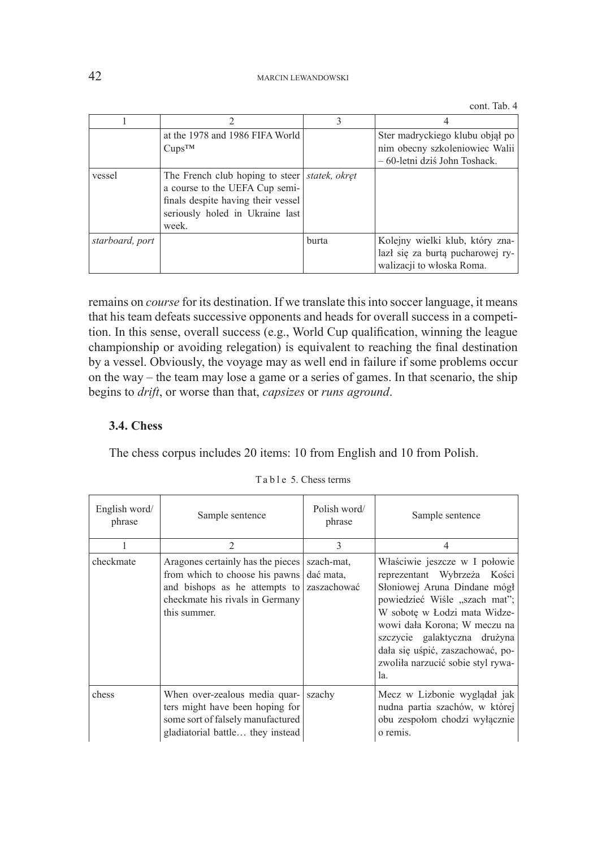|                 | at the 1978 and 1986 FIFA World<br>$Cups^{TM}$                                                                                                                      |       | Ster madryckiego klubu objął po<br>nim obecny szkoleniowiec Walii<br>- 60-letni dziś John Toshack. |
|-----------------|---------------------------------------------------------------------------------------------------------------------------------------------------------------------|-------|----------------------------------------------------------------------------------------------------|
| vessel          | The French club hoping to steer   statek, okret<br>a course to the UEFA Cup semi-<br>finals despite having their vessel<br>seriously holed in Ukraine last<br>week. |       |                                                                                                    |
| starboard, port |                                                                                                                                                                     | burta | Kolejny wielki klub, który zna-<br>lazł się za burtą pucharowej ry-<br>walizacji to włoska Roma.   |

remains on *course* for its destination. If we translate this into soccer language, it means that his team defeats successive opponents and heads for overall success in a competition. In this sense, overall success (e.g., World Cup qualification, winning the league championship or avoiding relegation) is equivalent to reaching the final destination by a vessel. Obviously, the voyage may as well end in failure if some problems occur on the way – the team may lose a game or a series of games. In that scenario, the ship begins to *drift*, or worse than that, *capsizes* or *runs aground*.

### **3.4. Chess**

The chess corpus includes 20 items: 10 from English and 10 from Polish.

| English word/<br>phrase | Sample sentence                                                                                                                                         | Polish word/<br>phrase                 | Sample sentence                                                                                                                                                                                                                                                                                              |
|-------------------------|---------------------------------------------------------------------------------------------------------------------------------------------------------|----------------------------------------|--------------------------------------------------------------------------------------------------------------------------------------------------------------------------------------------------------------------------------------------------------------------------------------------------------------|
|                         | $\mathfrak{D}$                                                                                                                                          | $\mathcal{E}$                          | $\overline{4}$                                                                                                                                                                                                                                                                                               |
| checkmate               | Aragones certainly has the pieces<br>from which to choose his pawns<br>and bishops as he attempts to<br>checkmate his rivals in Germany<br>this summer. | szach-mat.<br>dać mata,<br>zaszachować | Właściwie jeszcze w I połowie<br>reprezentant Wybrzeża Kości<br>Słoniowej Aruna Dindane mógł<br>powiedzieć Wiśle "szach mat";<br>W sobote w Łodzi mata Widze-<br>wowi dała Korona; W meczu na<br>szczycie galaktyczna drużyna<br>dała się uśpić, zaszachować, po-<br>zwoliła narzucić sobie styl rywa-<br>1a |
| chess                   | When over-zealous media quar-<br>ters might have been hoping for<br>some sort of falsely manufactured<br>gladiatorial battle they instead               | szachy                                 | Mecz w Lizbonie wyglądał jak<br>nudna partia szachów, w której<br>obu zespołom chodzi wyłącznie<br>o remis.                                                                                                                                                                                                  |

Ta b l e 5. Chess terms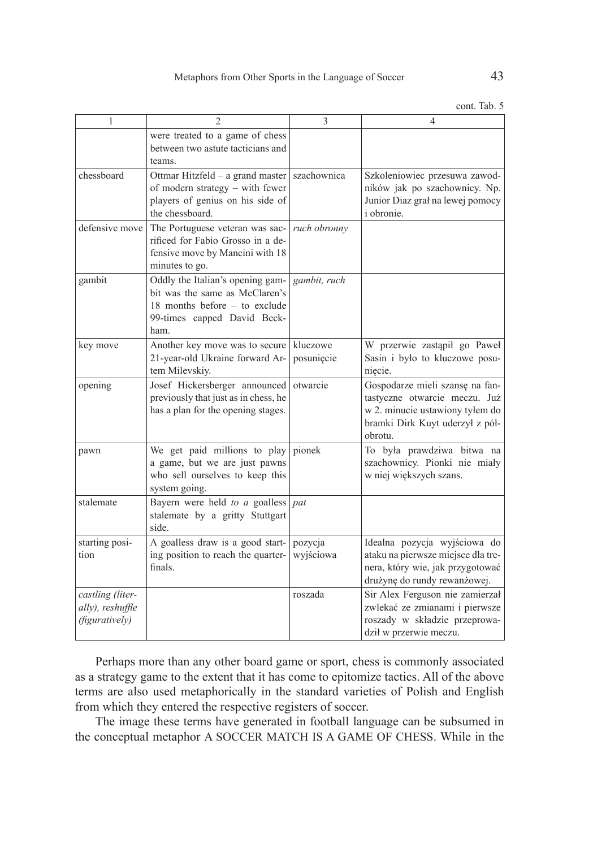| ۰ | I<br>I<br>×<br>۰. |
|---|-------------------|
|   |                   |
|   |                   |

| 1                                                      | $\overline{2}$                                                                                                                             | 3                      | 4                                                                                                                                                 |
|--------------------------------------------------------|--------------------------------------------------------------------------------------------------------------------------------------------|------------------------|---------------------------------------------------------------------------------------------------------------------------------------------------|
|                                                        | were treated to a game of chess<br>between two astute tacticians and<br>teams.                                                             |                        |                                                                                                                                                   |
| chessboard                                             | Ottmar Hitzfeld - a grand master<br>of modern strategy – with fewer<br>players of genius on his side of<br>the chessboard.                 | szachownica            | Szkoleniowiec przesuwa zawod-<br>ników jak po szachownicy. Np.<br>Junior Diaz grał na lewej pomocy<br><i>i</i> obronie.                           |
| defensive move                                         | The Portuguese veteran was sac-<br>rificed for Fabio Grosso in a de-<br>fensive move by Mancini with 18<br>minutes to go.                  | ruch obronny           |                                                                                                                                                   |
| gambit                                                 | Oddly the Italian's opening gam-<br>bit was the same as McClaren's<br>18 months before - to exclude<br>99-times capped David Beck-<br>ham. | gambit, ruch           |                                                                                                                                                   |
| key move                                               | Another key move was to secure<br>21-year-old Ukraine forward Ar-<br>tem Milevskiy.                                                        | kluczowe<br>posuniecie | W przerwie zastąpił go Paweł<br>Sasin i było to kluczowe posu-<br>nięcie.                                                                         |
| opening                                                | Josef Hickersberger announced<br>previously that just as in chess, he<br>has a plan for the opening stages.                                | otwarcie               | Gospodarze mieli szansę na fan-<br>tastyczne otwarcie meczu. Już<br>w 2. minucie ustawiony tylem do<br>bramki Dirk Kuyt uderzył z pół-<br>obrotu. |
| pawn                                                   | We get paid millions to play<br>a game, but we are just pawns<br>who sell ourselves to keep this<br>system going.                          | pionek                 | To była prawdziwa bitwa na<br>szachownicy. Pionki nie miały<br>w niej większych szans.                                                            |
| stalemate                                              | Bayern were held to a goalless<br>stalemate by a gritty Stuttgart<br>side.                                                                 | pat                    |                                                                                                                                                   |
| starting posi-<br>tion                                 | A goalless draw is a good start-<br>ing position to reach the quarter-<br>finals.                                                          | pozycja<br>wyjściowa   | Idealna pozycja wyjściowa do<br>ataku na pierwsze miejsce dla tre-<br>nera, który wie, jak przygotować<br>drużynę do rundy rewanżowej.            |
| castling (liter-<br>ally), reshuffle<br>(figuratively) |                                                                                                                                            | roszada                | Sir Alex Ferguson nie zamierzał<br>zwlekać ze zmianami i pierwsze<br>roszady w składzie przeprowa-<br>dził w przerwie meczu.                      |

Perhaps more than any other board game or sport, chess is commonly associated as a strategy game to the extent that it has come to epitomize tactics. All of the above terms are also used metaphorically in the standard varieties of Polish and English from which they entered the respective registers of soccer.

The image these terms have generated in football language can be subsumed in the conceptual metaphor A SOCCER MATCH IS A GAME OF CHESS. While in the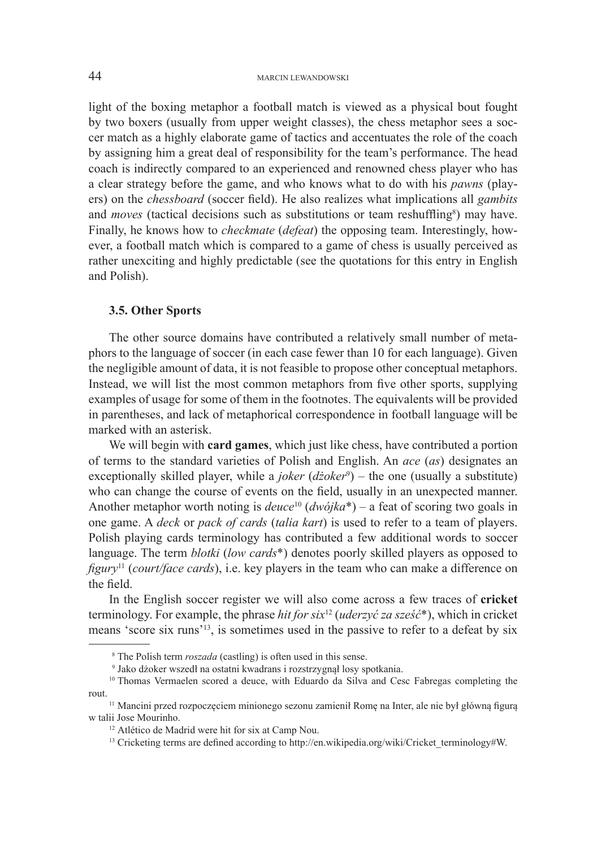light of the boxing metaphor a football match is viewed as a physical bout fought by two boxers (usually from upper weight classes), the chess metaphor sees a soccer match as a highly elaborate game of tactics and accentuates the role of the coach by assigning him a great deal of responsibility for the team's performance. The head coach is indirectly compared to an experienced and renowned chess player who has a clear strategy before the game, and who knows what to do with his *pawns* (players) on the *chessboard* (soccer field). He also realizes what implications all *gambits*  and *moves* (tactical decisions such as substitutions or team reshuffling<sup>8</sup>) may have. Finally, he knows how to *checkmate* (*defeat*) the opposing team. Interestingly, however, a football match which is compared to a game of chess is usually perceived as rather unexciting and highly predictable (see the quotations for this entry in English and Polish).

### **3.5. Other Sports**

The other source domains have contributed a relatively small number of metaphors to the language of soccer (in each case fewer than 10 for each language). Given the negligible amount of data, it is not feasible to propose other conceptual metaphors. Instead, we will list the most common metaphors from five other sports, supplying examples of usage for some of them in the footnotes. The equivalents will be provided in parentheses, and lack of metaphorical correspondence in football language will be marked with an asterisk.

We will begin with **card games**, which just like chess, have contributed a portion of terms to the standard varieties of Polish and English. An *ace* (*as*) designates an exceptionally skilled player, while a *joker* (dżoker<sup>9</sup>) – the one (usually a substitute) who can change the course of events on the field, usually in an unexpected manner. Another metaphor worth noting is  $deuce<sup>10</sup> (dwójka<sup>*</sup>)$  – a feat of scoring two goals in one game. A *deck* or *pack of cards* (*talia kart*) is used to refer to a team of players. Polish playing cards terminology has contributed a few additional words to soccer language. The term *blotki* (*low cards*\*) denotes poorly skilled players as opposed to *figury*11 (*court/face cards*), i.e. key players in the team who can make a difference on the field.

In the English soccer register we will also come across a few traces of **cricket** terminology. For example, the phrase *hit for six*<sup>12</sup> (*uderzyć za sześć*\*), which in cricket means 'score six runs'13, is sometimes used in the passive to refer to a defeat by six

<sup>8</sup> The Polish term *roszada* (castling) is often used in this sense. 9 Jako dżoker wszedł na ostatni kwadrans i rozstrzygnął losy spotkania.

<sup>10</sup> Thomas Vermaelen scored a deuce, with Eduardo da Silva and Cesc Fabregas completing the rout.

<sup>11</sup> Mancini przed rozpoczęciem minionego sezonu zamienił Romę na Inter, ale nie był główną figurą w talii Jose Mourinho.

<sup>&</sup>lt;sup>12</sup> Atlético de Madrid were hit for six at Camp Nou.<br><sup>13</sup> Cricketing terms are defined according to http://en.wikipedia.org/wiki/Cricket\_terminology#W.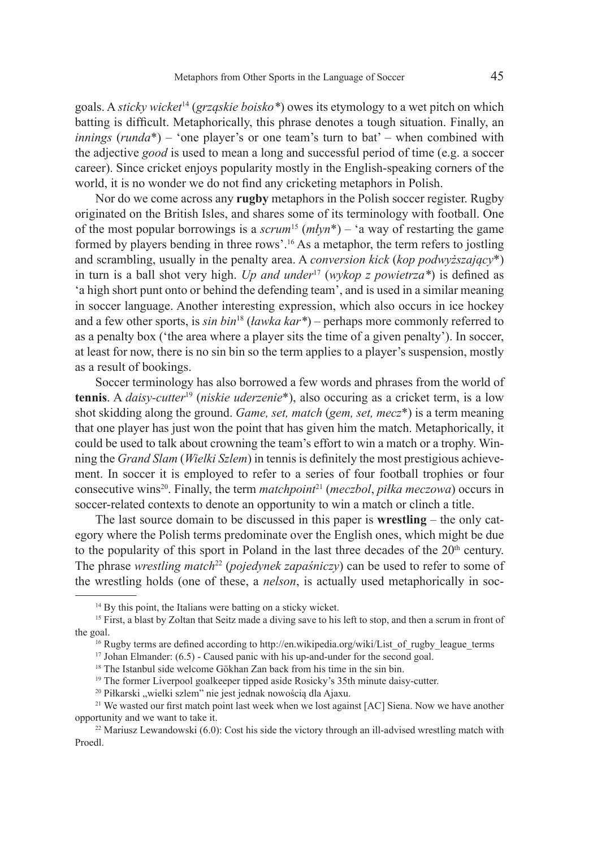goals. A *sticky wicket*14 (*grząskie boisko\**) owes its etymology to a wet pitch on which batting is difficult. Metaphorically, this phrase denotes a tough situation. Finally, an *innings* (*runda*\*) – 'one player's or one team's turn to bat' – when combined with the adjective *good* is used to mean a long and successful period of time (e.g. a soccer career). Since cricket enjoys popularity mostly in the English-speaking corners of the world, it is no wonder we do not find any cricketing metaphors in Polish.

Nor do we come across any **rugby** metaphors in the Polish soccer register. Rugby originated on the British Isles, and shares some of its terminology with football. One of the most popular borrowings is a *scrum*15 (*młyn*\*) – 'a way of restarting the game formed by players bending in three rows'.<sup>16</sup> As a metaphor, the term refers to jostling and scrambling, usually in the penalty area. A *conversion kick* (*kop podwyższający*\*) in turn is a ball shot very high. *Up and under*<sup>17</sup> (*wykop z powietrza\**) is defined as 'a high short punt onto or behind the defending team', and is used in a similar meaning in soccer language. Another interesting expression, which also occurs in ice hockey and a few other sports, is *sin bin*18 (*ławka kar\**) – perhaps more commonly referred to as a penalty box ('the area where a player sits the time of a given penalty'). In soccer, at least for now, there is no sin bin so the term applies to a player's suspension, mostly as a result of bookings.

Soccer terminology has also borrowed a few words and phrases from the world of **tennis**. A *daisy-cutter*19 (*niskie uderzenie*\*), also occuring as a cricket term, is a low shot skidding along the ground. *Game, set, match* (*gem, set, mecz*\*) is a term meaning that one player has just won the point that has given him the match. Metaphorically, it could be used to talk about crowning the team's effort to win a match or a trophy. Winning the *Grand Slam* (*Wielki Szlem*) in tennis is definitely the most prestigious achievement. In soccer it is employed to refer to a series of four football trophies or four consecutive wins20. Finally, the term *matchpoint*<sup>21</sup> (*meczbol*, *piłka meczowa*) occurs in soccer-related contexts to denote an opportunity to win a match or clinch a title.

The last source domain to be discussed in this paper is **wrestling** – the only category where the Polish terms predominate over the English ones, which might be due to the popularity of this sport in Poland in the last three decades of the  $20<sup>th</sup>$  century. The phrase *wrestling match*<sup>22</sup> (*pojedynek zapaśniczy*) can be used to refer to some of the wrestling holds (one of these, a *nelson*, is actually used metaphorically in soc-

<sup>17</sup> Johan Elmander:  $(6.5)$  - Caused panic with his up-and-under for the second goal.

<sup>&</sup>lt;sup>14</sup> By this point, the Italians were batting on a sticky wicket.

<sup>&</sup>lt;sup>15</sup> First, a blast by Zoltan that Seitz made a diving save to his left to stop, and then a scrum in front of the goal.

<sup>&</sup>lt;sup>16</sup> Rugby terms are defined according to http://en.wikipedia.org/wiki/List of rugby league terms

<sup>&</sup>lt;sup>18</sup> The Istanbul side welcome Gökhan Zan back from his time in the sin bin.

<sup>19</sup> The former Liverpool goalkeeper tipped aside Rosicky's 35th minute daisy-cutter.

<sup>&</sup>lt;sup>20</sup> Piłkarski "wielki szlem" nie jest jednak nowością dla Ajaxu.

<sup>&</sup>lt;sup>21</sup> We wasted our first match point last week when we lost against [AC] Siena. Now we have another opportunity and we want to take it.

 $22$  Mariusz Lewandowski (6.0): Cost his side the victory through an ill-advised wrestling match with Proedl.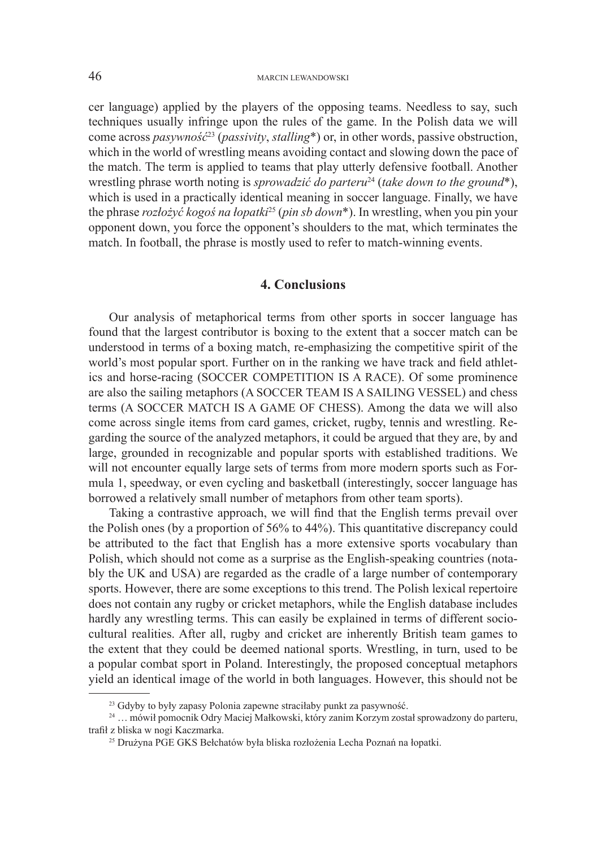cer language) applied by the players of the opposing teams. Needless to say, such techniques usually infringe upon the rules of the game. In the Polish data we will come across *pasywność*<sup>23</sup> (*passivity*, *stalling*\*) or, in other words, passive obstruction, which in the world of wrestling means avoiding contact and slowing down the pace of the match. The term is applied to teams that play utterly defensive football. Another wrestling phrase worth noting is *sprowadzić do parteru*<sup>24</sup> (*take down to the ground*<sup>\*</sup>), which is used in a practically identical meaning in soccer language. Finally, we have the phrase *rozłożyć kogoś na łopatki*25 (*pin sb down*\*). In wrestling, when you pin your opponent down, you force the opponent's shoulders to the mat, which terminates the match. In football, the phrase is mostly used to refer to match-winning events.

### **4. Conclusions**

Our analysis of metaphorical terms from other sports in soccer language has found that the largest contributor is boxing to the extent that a soccer match can be understood in terms of a boxing match, re-emphasizing the competitive spirit of the world's most popular sport. Further on in the ranking we have track and field athletics and horse-racing (SOCCER COMPETITION IS A RACE). Of some prominence are also the sailing metaphors (A SOCCER TEAM IS A SAILING VESSEL) and chess terms (A SOCCER MATCH IS A GAME OF CHESS). Among the data we will also come across single items from card games, cricket, rugby, tennis and wrestling. Regarding the source of the analyzed metaphors, it could be argued that they are, by and large, grounded in recognizable and popular sports with established traditions. We will not encounter equally large sets of terms from more modern sports such as Formula 1, speedway, or even cycling and basketball (interestingly, soccer language has borrowed a relatively small number of metaphors from other team sports).

Taking a contrastive approach, we will find that the English terms prevail over the Polish ones (by a proportion of 56% to 44%). This quantitative discrepancy could be attributed to the fact that English has a more extensive sports vocabulary than Polish, which should not come as a surprise as the English-speaking countries (notably the UK and USA) are regarded as the cradle of a large number of contemporary sports. However, there are some exceptions to this trend. The Polish lexical repertoire does not contain any rugby or cricket metaphors, while the English database includes hardly any wrestling terms. This can easily be explained in terms of different sociocultural realities. After all, rugby and cricket are inherently British team games to the extent that they could be deemed national sports. Wrestling, in turn, used to be a popular combat sport in Poland. Interestingly, the proposed conceptual metaphors yield an identical image of the world in both languages. However, this should not be

<sup>23</sup> Gdyby to były zapasy Polonia zapewne straciłaby punkt za pasywność.

<sup>24</sup> … mówił pomocnik Odry Maciej Małkowski, który zanim Korzym został sprowadzony do parteru, trafił z bliska w nogi Kaczmarka.

<sup>25</sup> Drużyna PGE GKS Bełchatów była bliska rozłożenia Lecha Poznań na łopatki.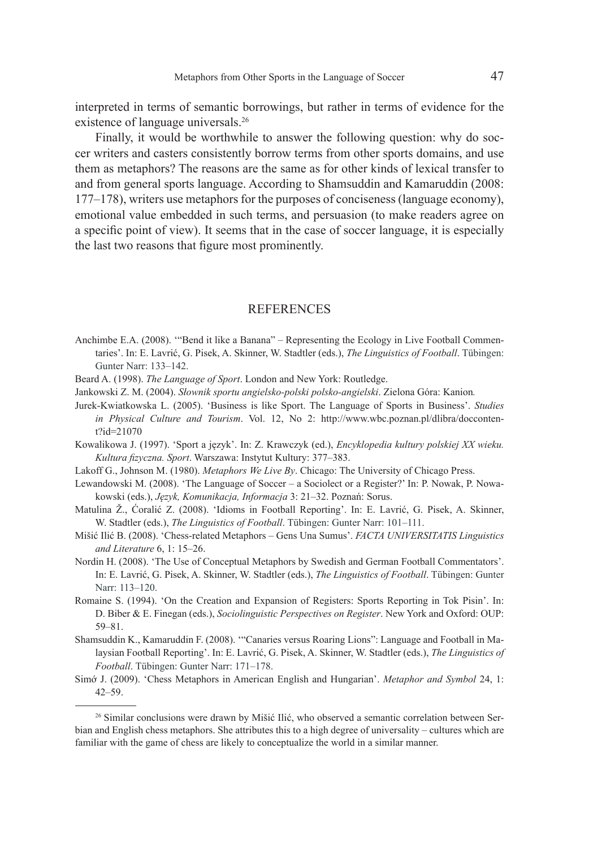interpreted in terms of semantic borrowings, but rather in terms of evidence for the existence of language universals.<sup>26</sup>

Finally, it would be worthwhile to answer the following question: why do soccer writers and casters consistently borrow terms from other sports domains, and use them as metaphors? The reasons are the same as for other kinds of lexical transfer to and from general sports language. According to Shamsuddin and Kamaruddin (2008: 177–178), writers use metaphors for the purposes of conciseness (language economy), emotional value embedded in such terms, and persuasion (to make readers agree on a specific point of view). It seems that in the case of soccer language, it is especially the last two reasons that figure most prominently.

### **REFERENCES**

- Anchimbe E.A. (2008). '"Bend it like a Banana" Representing the Ecology in Live Football Commentaries'. In: E. Lavrić, G. Pisek, A. Skinner, W. Stadtler (eds.), *The Linguistics of Football*. Tübingen: Gunter Narr: 133–142.
- Beard A. (1998). *The Language of Sport*. London and New York: Routledge.
- Jankowski Z. M. (2004). *Słownik sportu angielsko-polski polsko-angielski*. Zielona Góra: Kanion*.*
- Jurek-Kwiatkowska L. (2005). 'Business is like Sport. The Language of Sports in Business'. *Studies in Physical Culture and Tourism*. Vol. 12, No 2: http://www.wbc.poznan.pl/dlibra/doccontent?id=21070
- Kowalikowa J. (1997). 'Sport a język'. In: Z. Krawczyk (ed.), *Encyklopedia kultury polskiej XX wieku. Kultura fizyczna. Sport*. Warszawa: Instytut Kultury: 377–383.
- Lakoff G., Johnson M. (1980). *Metaphors We Live By*. Chicago: The University of Chicago Press.
- Lewandowski M. (2008). 'The Language of Soccer a Sociolect or a Register?' In: P. Nowak, P. Nowakowski (eds.), *Język, Komunikacja, Informacja* 3: 21–32. Poznań: Sorus.
- Matulina Ž., Ćoralić Z. (2008). 'Idioms in Football Reporting'. In: E. Lavrić, G. Pisek, A. Skinner, W. Stadtler (eds.), *The Linguistics of Football*. Tübingen: Gunter Narr: 101–111.
- Mišić Ilić B. (2008). 'Chess-related Metaphors Gens Una Sumus'. *FACTA UNIVERSITATIS Linguistics and Literature* 6, 1: 15–26.
- Nordin H. (2008). 'The Use of Conceptual Metaphors by Swedish and German Football Commentators'. In: E. Lavrić, G. Pisek, A. Skinner, W. Stadtler (eds.), *The Linguistics of Football*. Tübingen: Gunter Narr: 113–120.
- Romaine S. (1994). 'On the Creation and Expansion of Registers: Sports Reporting in Tok Pisin'. In: D. Biber & E. Finegan (eds.), *Sociolinguistic Perspectives on Register*. New York and Oxford: OUP: 59–81.
- Shamsuddin K., Kamaruddin F. (2008). '"Canaries versus Roaring Lions": Language and Football in Malaysian Football Reporting'. In: E. Lavrić, G. Pisek, A. Skinner, W. Stadtler (eds.), *The Linguistics of Football*. Tübingen: Gunter Narr: 171–178.
- Simớ J. (2009). 'Chess Metaphors in American English and Hungarian'. *Metaphor and Symbol* 24, 1: 42–59.

<sup>&</sup>lt;sup>26</sup> Similar conclusions were drawn by Mišić Ilić, who observed a semantic correlation between Serbian and English chess metaphors. She attributes this to a high degree of universality – cultures which are familiar with the game of chess are likely to conceptualize the world in a similar manner.